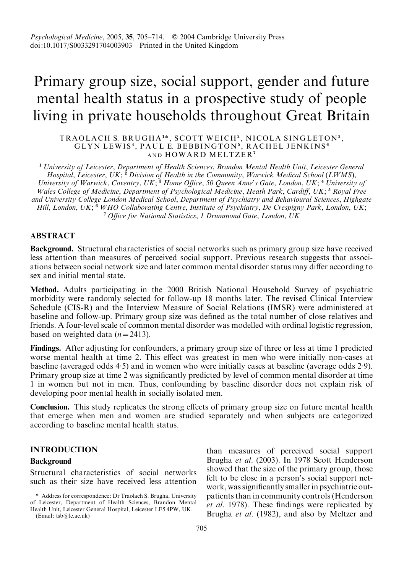# Primary group size, social support, gender and future mental health status in a prospective study of people living in private households throughout Great Britain

TRAOLACH S. BRUGHA1\*, SCOTT WEICH2, NICOLA SINGLETON3, GLYN LEWIS<sup>4</sup>, PAUL E. BEBBINGTON<sup>5</sup>, RACHEL JENKINS<sup>6</sup> AND HOWARD MELTZER<sup>7</sup>

<sup>1</sup> University of Leicester, Department of Health Sciences, Brandon Mental Health Unit, Leicester General Hospital, Leicester, UK;  $^2$  Division of Health in the Community, Warwick Medical School (LWMS), University of Warwick, Coventry, UK;<sup>3</sup> Home Office, 50 Queen Anne's Gate, London, UK;<sup>4</sup> University of Wales College of Medicine, Department of Psychological Medicine, Heath Park, Cardiff, UK;<sup>5</sup> Royal Free and University College London Medical School, Department of Psychiatry and Behavioural Sciences, Highgate Hill, London, UK;<sup>6</sup> WHO Collaborating Centre, Institute of Psychiatry, De Crespigny Park, London, UK; <sup>7</sup> Office for National Statistics, 1 Drummond Gate, London, UK

# ABSTRACT

Background. Structural characteristics of social networks such as primary group size have received less attention than measures of perceived social support. Previous research suggests that associations between social network size and later common mental disorder status may differ according to sex and initial mental state.

Method. Adults participating in the 2000 British National Household Survey of psychiatric morbidity were randomly selected for follow-up 18 months later. The revised Clinical Interview Schedule (CIS-R) and the Interview Measure of Social Relations (IMSR) were administered at baseline and follow-up. Primary group size was defined as the total number of close relatives and friends. A four-level scale of common mental disorder was modelled with ordinal logistic regression, based on weighted data  $(n=2413)$ .

Findings. After adjusting for confounders, a primary group size of three or less at time 1 predicted worse mental health at time 2. This effect was greatest in men who were initially non-cases at baseline (averaged odds 4. 5) and in women who were initially cases at baseline (average odds 2. 9). Primary group size at time 2 was significantly predicted by level of common mental disorder at time 1 in women but not in men. Thus, confounding by baseline disorder does not explain risk of developing poor mental health in socially isolated men.

Conclusion. This study replicates the strong effects of primary group size on future mental health that emerge when men and women are studied separately and when subjects are categorized according to baseline mental health status.

# INTRODUCTION

# Background

Structural characteristics of social networks such as their size have received less attention

(Email: tsb@le.ac.uk)

than measures of perceived social support Brugha et al. (2003). In 1978 Scott Henderson showed that the size of the primary group, those felt to be close in a person's social support network, was significantly smaller in psychiatric outpatients than in community controls (Henderson et al. 1978). These findings were replicated by Brugha et al. (1982), and also by Meltzer and

<sup>\*</sup> Address for correspondence: Dr Traolach S. Brugha, University of Leicester, Department of Health Sciences, Brandon Mental Health Unit, Leicester General Hospital, Leicester LE5 4PW, UK.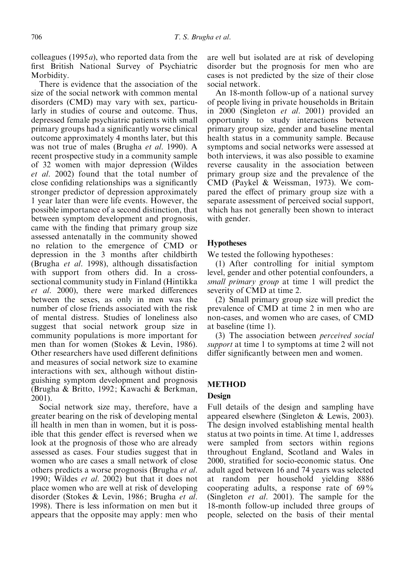colleagues (1995 $a$ ), who reported data from the first British National Survey of Psychiatric Morbidity.

There is evidence that the association of the size of the social network with common mental disorders (CMD) may vary with sex, particularly in studies of course and outcome. Thus, depressed female psychiatric patients with small primary groups had a significantly worse clinical outcome approximately 4 months later, but this was not true of males (Brugha et al. 1990). A recent prospective study in a community sample of 32 women with major depression (Wildes et al. 2002) found that the total number of close confiding relationships was a significantly stronger predictor of depression approximately 1 year later than were life events. However, the possible importance of a second distinction, that between symptom development and prognosis, came with the finding that primary group size assessed antenatally in the community showed no relation to the emergence of CMD or depression in the 3 months after childbirth (Brugha et al. 1998), although dissatisfaction with support from others did. In a crosssectional community study in Finland (Hintikka et al. 2000), there were marked differences between the sexes, as only in men was the number of close friends associated with the risk of mental distress. Studies of loneliness also suggest that social network group size in community populations is more important for men than for women (Stokes & Levin, 1986). Other researchers have used different definitions and measures of social network size to examine interactions with sex, although without distinguishing symptom development and prognosis (Brugha & Britto, 1992; Kawachi & Berkman, 2001).

Social network size may, therefore, have a greater bearing on the risk of developing mental ill health in men than in women, but it is possible that this gender effect is reversed when we look at the prognosis of those who are already assessed as cases. Four studies suggest that in women who are cases a small network of close others predicts a worse prognosis (Brugha et al. 1990; Wildes et al. 2002) but that it does not place women who are well at risk of developing disorder (Stokes & Levin, 1986; Brugha et al. 1998). There is less information on men but it appears that the opposite may apply: men who

are well but isolated are at risk of developing disorder but the prognosis for men who are cases is not predicted by the size of their close social network.

An 18-month follow-up of a national survey of people living in private households in Britain in 2000 (Singleton et al. 2001) provided an opportunity to study interactions between primary group size, gender and baseline mental health status in a community sample. Because symptoms and social networks were assessed at both interviews, it was also possible to examine reverse causality in the association between primary group size and the prevalence of the CMD (Paykel & Weissman, 1973). We compared the effect of primary group size with a separate assessment of perceived social support, which has not generally been shown to interact with gender.

## Hypotheses

We tested the following hypotheses:

(1) After controlling for initial symptom level, gender and other potential confounders, a small primary group at time 1 will predict the severity of CMD at time 2.

(2) Small primary group size will predict the prevalence of CMD at time 2 in men who are non-cases, and women who are cases, of CMD at baseline (time 1).

(3) The association between perceived social support at time 1 to symptoms at time 2 will not differ significantly between men and women.

## METHOD

## Design

Full details of the design and sampling have appeared elsewhere (Singleton & Lewis, 2003). The design involved establishing mental health status at two points in time. At time 1, addresses were sampled from sectors within regions throughout England, Scotland and Wales in 2000, stratified for socio-economic status. One adult aged between 16 and 74 years was selected at random per household yielding 8886 cooperating adults, a response rate of 69% (Singleton *et al.* 2001). The sample for the 18-month follow-up included three groups of people, selected on the basis of their mental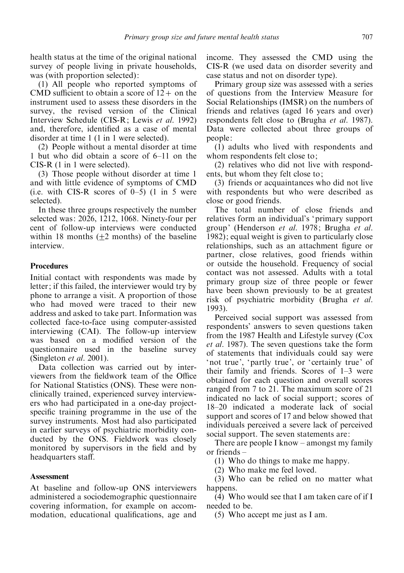health status at the time of the original national survey of people living in private households, was (with proportion selected):

(1) All people who reported symptoms of CMD sufficient to obtain a score of  $12+$  on the instrument used to assess these disorders in the survey, the revised version of the Clinical Interview Schedule (CIS-R; Lewis et al. 1992) and, therefore, identified as a case of mental disorder at time 1 (1 in 1 were selected).

(2) People without a mental disorder at time 1 but who did obtain a score of 6–11 on the CIS-R (1 in 1 were selected).

(3) Those people without disorder at time 1 and with little evidence of symptoms of CMD (i.e. with CIS-R scores of  $0-5$ ) (1 in 5 were selected).

In these three groups respectively the number selected was: 2026, 1212, 1068. Ninety-four per cent of follow-up interviews were conducted within 18 months  $(+2 \text{ months})$  of the baseline interview.

# **Procedures**

Initial contact with respondents was made by letter; if this failed, the interviewer would try by phone to arrange a visit. A proportion of those who had moved were traced to their new address and asked to take part. Information was collected face-to-face using computer-assisted interviewing (CAI). The follow-up interview was based on a modified version of the questionnaire used in the baseline survey (Singleton et al. 2001).

Data collection was carried out by interviewers from the fieldwork team of the Office for National Statistics (ONS). These were nonclinically trained, experienced survey interviewers who had participated in a one-day projectspecific training programme in the use of the survey instruments. Most had also participated in earlier surveys of psychiatric morbidity conducted by the ONS. Fieldwork was closely monitored by supervisors in the field and by headquarters staff.

# **Assessment**

At baseline and follow-up ONS interviewers administered a sociodemographic questionnaire covering information, for example on accommodation, educational qualifications, age and income. They assessed the CMD using the CIS-R (we used data on disorder severity and case status and not on disorder type).

Primary group size was assessed with a series of questions from the Interview Measure for Social Relationships (IMSR) on the numbers of friends and relatives (aged 16 years and over) respondents felt close to (Brugha et al. 1987). Data were collected about three groups of people:

(1) adults who lived with respondents and whom respondents felt close to;

(2) relatives who did not live with respondents, but whom they felt close to;

(3) friends or acquaintances who did not live with respondents but who were described as close or good friends.

The total number of close friends and relatives form an individual's 'primary support group' (Henderson et al. 1978; Brugha et al. 1982); equal weight is given to particularly close relationships, such as an attachment figure or partner, close relatives, good friends within or outside the household. Frequency of social contact was not assessed. Adults with a total primary group size of three people or fewer have been shown previously to be at greatest risk of psychiatric morbidity (Brugha et al. 1993).

Perceived social support was assessed from respondents' answers to seven questions taken from the 1987 Health and Lifestyle survey (Cox et al. 1987). The seven questions take the form of statements that individuals could say were 'not true', 'partly true', or 'certainly true' of their family and friends. Scores of 1–3 were obtained for each question and overall scores ranged from 7 to 21. The maximum score of 21 indicated no lack of social support; scores of 18–20 indicated a moderate lack of social support and scores of 17 and below showed that individuals perceived a severe lack of perceived social support. The seven statements are:

There are people I know – amongst my family or friends –

(1) Who do things to make me happy.

(2) Who make me feel loved.

(3) Who can be relied on no matter what happens.

(4) Who would see that I am taken care of if I needed to be.

(5) Who accept me just as I am.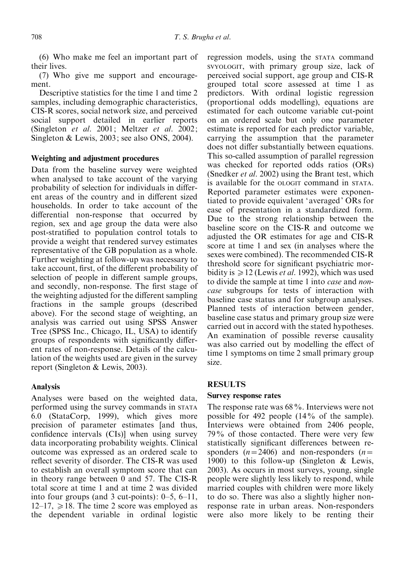(6) Who make me feel an important part of their lives.

(7) Who give me support and encouragement.

Descriptive statistics for the time 1 and time 2 samples, including demographic characteristics, CIS-R scores, social network size, and perceived social support detailed in earlier reports (Singleton et al. 2001; Meltzer et al. 2002; Singleton & Lewis, 2003; see also ONS, 2004).

# Weighting and adjustment procedures

Data from the baseline survey were weighted when analysed to take account of the varying probability of selection for individuals in different areas of the country and in different sized households. In order to take account of the differential non-response that occurred by region, sex and age group the data were also post-stratified to population control totals to provide a weight that rendered survey estimates representative of the GB population as a whole. Further weighting at follow-up was necessary to take account, first, of the different probability of selection of people in different sample groups, and secondly, non-response. The first stage of the weighting adjusted for the different sampling fractions in the sample groups (described above). For the second stage of weighting, an analysis was carried out using SPSS Answer Tree (SPSS Inc., Chicago, IL, USA) to identify groups of respondents with significantly different rates of non-response. Details of the calculation of the weights used are given in the survey report (Singleton & Lewis, 2003).

# Analysis

Analyses were based on the weighted data, performed using the survey commands in STATA 6.0 (StataCorp, 1999), which gives more precision of parameter estimates [and thus, confidence intervals (CIs)] when using survey data incorporating probability weights. Clinical outcome was expressed as an ordered scale to reflect severity of disorder. The CIS-R was used to establish an overall symptom score that can in theory range between 0 and 57. The CIS-R total score at time 1 and at time 2 was divided into four groups (and 3 cut-points): 0–5, 6–11,  $12-17$ ,  $\geq 18$ . The time 2 score was employed as the dependent variable in ordinal logistic regression models, using the STATA command SVYOLOGIT, with primary group size, lack of perceived social support, age group and CIS-R grouped total score assessed at time 1 as predictors. With ordinal logistic regression (proportional odds modelling), equations are estimated for each outcome variable cut-point on an ordered scale but only one parameter estimate is reported for each predictor variable, carrying the assumption that the parameter does not differ substantially between equations. This so-called assumption of parallel regression was checked for reported odds ratios (ORs) (Snedker *et al.* 2002) using the Brant test, which is available for the OLOGIT command in STATA. Reported parameter estimates were exponentiated to provide equivalent 'averaged' ORs for ease of presentation in a standardized form. Due to the strong relationship between the baseline score on the CIS-R and outcome we adjusted the OR estimates for age and CIS-R score at time 1 and sex (in analyses where the sexes were combined). The recommended CIS-R threshold score for significant psychiatric morbidity is  $\geq 12$  (Lewis *et al.* 1992), which was used to divide the sample at time 1 into case and noncase subgroups for tests of interaction with baseline case status and for subgroup analyses. Planned tests of interaction between gender, baseline case status and primary group size were carried out in accord with the stated hypotheses. An examination of possible reverse causality was also carried out by modelling the effect of time 1 symptoms on time 2 small primary group size.

# RESULTS

## Survey response rates

The response rate was 68%. Interviews were not possible for 492 people (14% of the sample). Interviews were obtained from 2406 people, 79% of those contacted. There were very few statistically significant differences between responders  $(n=2406)$  and non-responders  $(n=$ 1900) to this follow-up (Singleton & Lewis, 2003). As occurs in most surveys, young, single people were slightly less likely to respond, while married couples with children were more likely to do so. There was also a slightly higher nonresponse rate in urban areas. Non-responders were also more likely to be renting their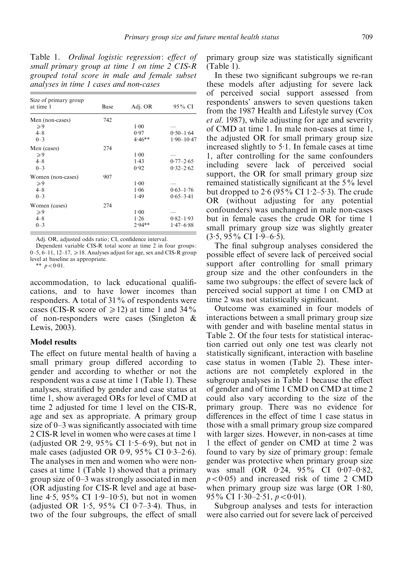Table 1. Ordinal logistic regression: effect of small primary group at time 1 on time 2 CIS-R grouped total score in male and female subset analyses in time 1 cases and non-cases

| Size of primary group<br>at time 1 | Base | Adj. OR  | 95% CI         |
|------------------------------------|------|----------|----------------|
| Men (non-cases)                    | 742  |          |                |
| $\geqslant 9$                      |      | $1-00$   |                |
| $4 - 8$                            |      | 0.97     | $0.50 - 1.64$  |
| $0 - 3$                            |      | $4.46**$ | $1.90 - 10.47$ |
| Men (cases)                        | 274  |          |                |
| $\geqslant$ 9                      |      | $1-00$   |                |
| $4 - 8$                            |      | 1.43     | $0.77 - 2.65$  |
| $0 - 3$                            |      | 0.92     | $0.32 - 2.62$  |
| Women (non-cases)                  | 907  |          |                |
| $\geqslant 9$                      |      | $1-00$   |                |
| $4 - 8$                            |      | 1.06     | $0.63 - 1.76$  |
| $0 - 3$                            |      | 1.49     | $0.65 - 3.41$  |
| Women (cases)                      | 274  |          |                |
| $\geqslant 9$                      |      | $1-00$   |                |
| $4 - 8$                            |      | 1.26     | $0.82 - 1.93$  |
| $0 - 3$                            |      | $2.94**$ | $1.47 - 6.88$  |

Adj. OR, adjusted odds ratio: CI, confidence interval.

Dependent variable CIS-R total score at time 2 in four groups: 0–5, 6–11, 12–17,  $\geq$  18. Analyses adjust for age, sex and CIS-R group level at baseline as appropriate.

\*\*  $p < 0.01$ .

accommodation, to lack educational qualifications, and to have lower incomes than responders. A total of 31% of respondents were cases (CIS-R score of  $\geq 12$ ) at time 1 and 34% of non-responders were cases (Singleton & Lewis, 2003).

### Model results

The effect on future mental health of having a small primary group differed according to gender and according to whether or not the respondent was a case at time 1 (Table 1). These analyses, stratified by gender and case status at time 1, show averaged ORs for level of CMD at time 2 adjusted for time 1 level on the CIS-R, age and sex as appropriate. A primary group size of 0–3 was significantly associated with time 2 CIS-R level in women who were cases at time 1 (adjusted OR 2. 9, 95% CI 1. 5–6. 9), but not in male cases (adjusted OR 0.9, 95% CI 0.3–2.6). The analyses in men and women who were noncases at time 1 (Table 1) showed that a primary group size of 0–3 was strongly associated in men (OR adjusting for CIS-R level and age at baseline 4.5, 95% CI 1.9–10.5), but not in women (adjusted OR 1. 5, 95% CI 0. 7–3. 4). Thus, in two of the four subgroups, the effect of small

primary group size was statistically significant (Table 1).

In these two significant subgroups we re-ran these models after adjusting for severe lack of perceived social support assessed from respondents' answers to seven questions taken from the 1987 Health and Lifestyle survey (Cox et al. 1987), while adjusting for age and severity of CMD at time 1. In male non-cases at time 1, the adjusted OR for small primary group size increased slightly to  $5.1$ . In female cases at time 1, after controlling for the same confounders including severe lack of perceived social support, the OR for small primary group size remained statistically significant at the 5% level but dropped to  $2.6$  (95% CI 1.2–5.3). The crude OR (without adjusting for any potential confounders) was unchanged in male non-cases but in female cases the crude OR for time 1 small primary group size was slightly greater  $(3.5, 95\% \text{ CI} 1.9 - 6.5).$ 

The final subgroup analyses considered the possible effect of severe lack of perceived social support after controlling for small primary group size and the other confounders in the same two subgroups: the effect of severe lack of perceived social support at time 1 on CMD at time 2 was not statistically significant.

Outcome was examined in four models of interactions between a small primary group size with gender and with baseline mental status in Table 2. Of the four tests for statistical interaction carried out only one test was clearly not statistically significant, interaction with baseline case status in women (Table 2). These interactions are not completely explored in the subgroup analyses in Table 1 because the effect of gender and of time 1 CMD on CMD at time 2 could also vary according to the size of the primary group. There was no evidence for differences in the effect of time 1 case status in those with a small primary group size compared with larger sizes. However, in non-cases at time 1 the effect of gender on CMD at time 2 was found to vary by size of primary group: female gender was protective when primary group size was small (OR  $0.24$ ,  $95\%$  CI  $0.07-0.82$ ,  $p < 0.05$ ) and increased risk of time 2 CMD when primary group size was large (OR 1.80, 95% CI 1.30–2.51,  $p < 0.01$ ).

Subgroup analyses and tests for interaction were also carried out for severe lack of perceived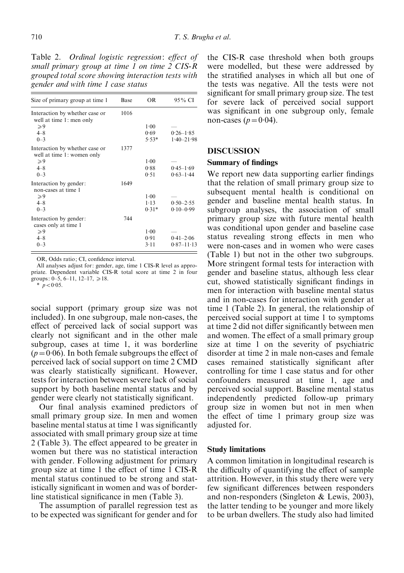Table 2. Ordinal logistic regression: effect of small primary group at time 1 on time 2 CIS-R grouped total score showing interaction tests with gender and with time 1 case status

| Size of primary group at time 1                              | Base | OR       | 95 % CI        |
|--------------------------------------------------------------|------|----------|----------------|
| Interaction by whether case or<br>well at time 1: men only   | 1016 |          |                |
| $\geqslant$ 9                                                |      | $1-00$   |                |
| $4 - 8$                                                      |      | 0.69     | $0.26 - 1.85$  |
| $0 - 3$                                                      |      | $5.53*$  | $1.40 - 21.98$ |
| Interaction by whether case or<br>well at time 1: women only | 1377 |          |                |
| $\geqslant 9$                                                |      | 1.00     |                |
| $4 - 8$                                                      |      | 0.88     | $0.45 - 1.69$  |
| $0 - 3$                                                      |      | 0.51     | $0.63 - 1.44$  |
| Interaction by gender:<br>non-cases at time 1                | 1649 |          |                |
| $\geqslant 9$                                                |      | 1.00     |                |
| $4 - 8$                                                      |      | $1 - 13$ | $0.50 - 2.55$  |
| $0 - 3$                                                      |      | $0.31*$  | $0.10 - 0.99$  |
| Interaction by gender:<br>cases only at time 1               | 744  |          |                |
| $\geqslant 9$                                                |      | $1-00$   |                |
| $4 - 8$                                                      |      | 0.91     | $0.41 - 2.06$  |
| $0 - 3$                                                      |      | 3.11     | $0.87 - 11.13$ |

OR, Odds ratio; CI, confidence interval.

All analyses adjust for: gender, age, time 1 CIS-R level as appropriate. Dependent variable CIS-R total score at time 2 in four groups: 0–5, 6–11, 12–17,  $\ge 18$ .

 $\frac{1}{p}$  < 0.05.

social support (primary group size was not included). In one subgroup, male non-cases, the effect of perceived lack of social support was clearly not significant and in the other male subgroup, cases at time 1, it was borderline  $(p=0.06)$ . In both female subgroups the effect of perceived lack of social support on time 2 CMD was clearly statistically significant. However, tests for interaction between severe lack of social support by both baseline mental status and by gender were clearly not statistically significant.

Our final analysis examined predictors of small primary group size. In men and women baseline mental status at time 1 was significantly associated with small primary group size at time 2 (Table 3). The effect appeared to be greater in women but there was no statistical interaction with gender. Following adjustment for primary group size at time 1 the effect of time 1 CIS-R mental status continued to be strong and statistically significant in women and was of borderline statistical significance in men (Table 3).

The assumption of parallel regression test as to be expected was significant for gender and for the CIS-R case threshold when both groups were modelled, but these were addressed by the stratified analyses in which all but one of the tests was negative. All the tests were not significant for small primary group size. The test for severe lack of perceived social support was significant in one subgroup only, female non-cases  $(p=0.04)$ .

#### DISCUSSION

#### Summary of findings

We report new data supporting earlier findings that the relation of small primary group size to subsequent mental health is conditional on gender and baseline mental health status. In subgroup analyses, the association of small primary group size with future mental health was conditional upon gender and baseline case status revealing strong effects in men who were non-cases and in women who were cases (Table 1) but not in the other two subgroups. More stringent formal tests for interaction with gender and baseline status, although less clear cut, showed statistically significant findings in men for interaction with baseline mental status and in non-cases for interaction with gender at time 1 (Table 2). In general, the relationship of perceived social support at time 1 to symptoms at time 2 did not differ significantly between men and women. The effect of a small primary group size at time 1 on the severity of psychiatric disorder at time 2 in male non-cases and female cases remained statistically significant after controlling for time 1 case status and for other confounders measured at time 1, age and perceived social support. Baseline mental status independently predicted follow-up primary group size in women but not in men when the effect of time 1 primary group size was adjusted for.

## Study limitations

A common limitation in longitudinal research is the difficulty of quantifying the effect of sample attrition. However, in this study there were very few significant differences between responders and non-responders (Singleton & Lewis, 2003), the latter tending to be younger and more likely to be urban dwellers. The study also had limited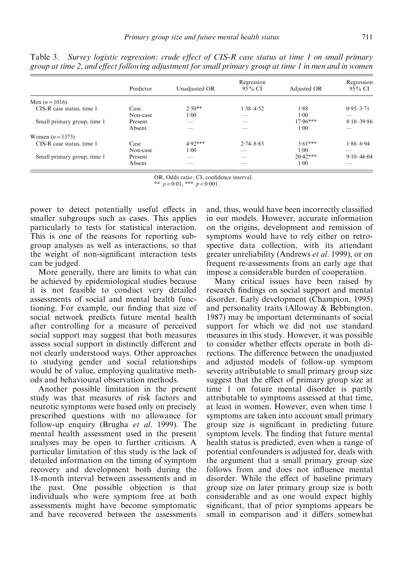|                             | Predictor | Unadjusted OR | Regression<br>95% CI | Adjusted OR | Regression<br>95% CI |
|-----------------------------|-----------|---------------|----------------------|-------------|----------------------|
|                             |           |               |                      |             |                      |
| Men $(n=1016)$              |           |               |                      |             |                      |
| CIS-R case status, time 1   | Case      | $2.50**$      | $1.38 - 4.52$        | 1.88        | $0.95 - 3.71$        |
|                             | Non-case  | $1-00$        |                      | $1 - 00$    | ---                  |
| Small primary group, time 1 | Present   |               |                      | $17.96***$  | $8.10 - 39.86$       |
|                             | Absent    |               |                      | 1:00        |                      |
| Women $(n = 1375)$          |           |               |                      |             |                      |
| CIS-R case status, time 1   | Case      | $4.92***$     | $2.74 - 8.83$        | $3.61***$   | $1.88 - 6.94$        |
|                             | Non-case  | $1-00$        |                      | $1 - 00$    |                      |
| Small primary group, time 1 | Present   |               |                      | $20.42***$  | $9.10 - 46.04$       |
|                             | Absent    |               |                      | 1:00        |                      |

Table 3. Survey logistic regression: crude effect of CIS-R case status at time 1 on small primary group at time 2, and effect following adjustment for small primary group at time 1 in men and in women

OR, Odds ratio; CI, confidence interval.

\*\*  $p < 0.01$ , \*\*\*  $p < 0.001$ .

power to detect potentially useful effects in smaller subgroups such as cases. This applies particularly to tests for statistical interaction. This is one of the reasons for reporting subgroup analyses as well as interactions, so that the weight of non-significant interaction tests can be judged.

More generally, there are limits to what can be achieved by epidemiological studies because it is not feasible to conduct very detailed assessments of social and mental health functioning. For example, our finding that size of social network predicts future mental health after controlling for a measure of perceived social support may suggest that both measures assess social support in distinctly different and not clearly understood ways. Other approaches to studying gender and social relationships would be of value, employing qualitative methods and behavioural observation methods.

Another possible limitation in the present study was that measures of risk factors and neurotic symptoms were based only on precisely prescribed questions with no allowance for follow-up enquiry (Brugha et al. 1999). The mental health assessment used in the present analyses may be open to further criticism. A particular limitation of this study is the lack of detailed information on the timing of symptom recovery and development both during the 18-month interval between assessments and in the past. One possible objection is that individuals who were symptom free at both assessments might have become symptomatic and have recovered between the assessments

and, thus, would have been incorrectly classified in our models. However, accurate information on the origins, development and remission of symptoms would have to rely either on retrospective data collection, with its attendant greater unreliability (Andrews et al. 1999), or on frequent re-assessments from an early age that impose a considerable burden of cooperation.

Many critical issues have been raised by research findings on social support and mental disorder. Early development (Champion, 1995) and personality traits (Alloway & Bebbington, 1987) may be important determinants of social support for which we did not use standard measures in this study. However, it was possible to consider whether effects operate in both directions. The difference between the unadjusted and adjusted models of follow-up symptom severity attributable to small primary group size suggest that the effect of primary group size at time 1 on future mental disorder is partly attributable to symptoms assessed at that time, at least in women. However, even when time 1 symptoms are taken into account small primary group size is significant in predicting future symptom levels. The finding that future mental health status is predicted, even when a range of potential confounders is adjusted for, deals with the argument that a small primary group size follows from and does not influence mental disorder. While the effect of baseline primary group size on later primary group size is both considerable and as one would expect highly significant, that of prior symptoms appears be small in comparison and it differs somewhat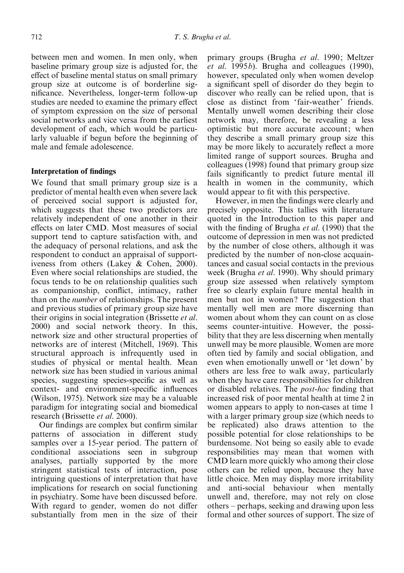between men and women. In men only, when baseline primary group size is adjusted for, the effect of baseline mental status on small primary group size at outcome is of borderline significance. Nevertheless, longer-term follow-up studies are needed to examine the primary effect of symptom expression on the size of personal social networks and vice versa from the earliest development of each, which would be particularly valuable if begun before the beginning of male and female adolescence.

# Interpretation of findings

We found that small primary group size is a predictor of mental health even when severe lack of perceived social support is adjusted for, which suggests that these two predictors are relatively independent of one another in their effects on later CMD. Most measures of social support tend to capture satisfaction with, and the adequacy of personal relations, and ask the respondent to conduct an appraisal of supportiveness from others (Lakey & Cohen, 2000). Even where social relationships are studied, the focus tends to be on relationship qualities such as companionship, conflict, intimacy, rather than on the number of relationships. The present and previous studies of primary group size have their origins in social integration (Brissette et al. 2000) and social network theory. In this, network size and other structural properties of networks are of interest (Mitchell, 1969). This structural approach is infrequently used in studies of physical or mental health. Mean network size has been studied in various animal species, suggesting species-specific as well as context- and environment-specific influences (Wilson, 1975). Network size may be a valuable paradigm for integrating social and biomedical research (Brissette et al. 2000).

Our findings are complex but confirm similar patterns of association in different study samples over a 15-year period. The pattern of conditional associations seen in subgroup analyses, partially supported by the more stringent statistical tests of interaction, pose intriguing questions of interpretation that have implications for research on social functioning in psychiatry. Some have been discussed before. With regard to gender, women do not differ substantially from men in the size of their primary groups (Brugha et al. 1990; Meltzer et al. 1995b). Brugha and colleagues (1990), however, speculated only when women develop a significant spell of disorder do they begin to discover who really can be relied upon, that is close as distinct from 'fair-weather' friends. Mentally unwell women describing their close network may, therefore, be revealing a less optimistic but more accurate account; when they describe a small primary group size this may be more likely to accurately reflect a more limited range of support sources. Brugha and colleagues (1998) found that primary group size fails significantly to predict future mental ill health in women in the community, which would appear to fit with this perspective.

However, in men the findings were clearly and precisely opposite. This tallies with literature quoted in the Introduction to this paper and with the finding of Brugha *et al.* (1990) that the outcome of depression in men was not predicted by the number of close others, although it was predicted by the number of non-close acquaintances and casual social contacts in the previous week (Brugha *et al.* 1990). Why should primary group size assessed when relatively symptom free so clearly explain future mental health in men but not in women? The suggestion that mentally well men are more discerning than women about whom they can count on as close seems counter-intuitive. However, the possibility that they are less discerning when mentally unwell may be more plausible. Women are more often tied by family and social obligation, and even when emotionally unwell or 'let down' by others are less free to walk away, particularly when they have care responsibilities for children or disabled relatives. The post-hoc finding that increased risk of poor mental health at time 2 in women appears to apply to non-cases at time 1 with a larger primary group size (which needs to be replicated) also draws attention to the possible potential for close relationships to be burdensome. Not being so easily able to evade responsibilities may mean that women with CMD learn more quickly who among their close others can be relied upon, because they have little choice. Men may display more irritability and anti-social behaviour when mentally unwell and, therefore, may not rely on close others – perhaps, seeking and drawing upon less formal and other sources of support. The size of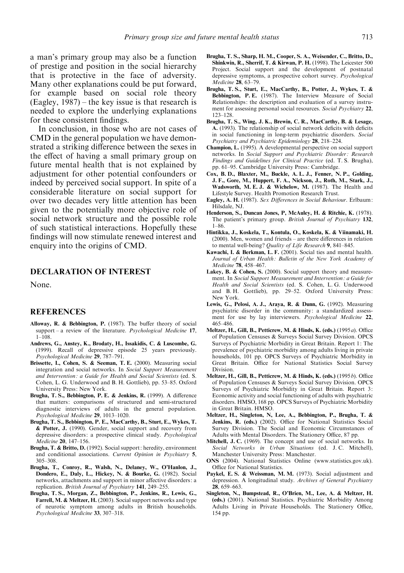a man's primary group may also be a function of prestige and position in the social hierarchy that is protective in the face of adversity. Many other explanations could be put forward, for example based on social role theory (Eagley, 1987) – the key issue is that research is needed to explore the underlying explanations for these consistent findings.

In conclusion, in those who are not cases of CMD in the general population we have demonstrated a striking difference between the sexes in the effect of having a small primary group on future mental health that is not explained by adjustment for other potential confounders or indeed by perceived social support. In spite of a considerable literature on social support for over two decades very little attention has been given to the potentially more objective role of social network structure and the possible role of such statistical interactions. Hopefully these findings will now stimulate renewed interest and enquiry into the origins of CMD.

## DECLARATION OF INTEREST

None.

## **REFERENCES**

- Alloway, R. & Bebbington, P. (1987). The buffer theory of social support – a review of the literature. *Psychological Medicine* 17,  $1 - 108$
- Andrews, G., Anstey, K., Brodaty, H., Issakidis, C. & Luscombe, G. (1999). Recall of depressive episode 25 years previously. Psychological Medicine 29, 787–791.
- Brissette, I., Cohen, S. & Seeman, T. E. (2000). Measuring social integration and social networks. In Social Support Measurement and Intervention: a Guide for Health and Social Scientists (ed. S. Cohen, L. G. Underwood and B. H. Gottlieb), pp. 53–85. Oxford University Press: New York.
- Brugha, T. S., Bebbington, P. E. & Jenkins, R. (1999). A difference that matters: comparisons of structured and semi-structured diagnostic interviews of adults in the general population. Psychological Medicine 29, 1013–1020.
- Brugha, T. S., Bebbington, P. E., MacCarthy, B., Sturt, E., Wykes, T. & Potter, J. (1990). Gender, social support and recovery from depressive disorders: a prospective clinical study. Psychological Medicine 20, 147–156.
- Brugha, T. & Britto, D. (1992). Social support: heredity, environment and conditional associations. Current Opinion in Psychiatry 5, 305–308.
- Brugha, T., Conroy, R., Walsh, N., Delaney, W., O'Hanlon, J., Dondero, E., Daly, L., Hickey, N. & Bourke, G. (1982). Social networks, attachments and support in minor affective disorders: a replication. British Journal of Psychiatry 141, 249–255.
- Brugha, T. S., Morgan, Z., Bebbington, P., Jenkins, R., Lewis, G., Farrell, M. & Meltzer, H. (2003). Social support networks and type of neurotic symptom among adults in British households. Psychological Medicine 33, 307–318.
- Brugha, T. S., Sharp, H. M., Cooper, S. A., Weisender, C., Britto, D., Shinkwin, R., Sherrif, T. & Kirwan, P. H. (1998). The Leicester 500 Project. Social support and the development of postnatal depressive symptoms, a prospective cohort survey. Psychological Medicine 28, 63–79.
- Brugha, T. S., Sturt, E., MacCarthy, B., Potter, J., Wykes, T. & Bebbington, P. E. (1987). The Interview Measure of Social Relationships: the description and evaluation of a survey instrument for assessing personal social resources. Social Psychiatry 22, 123–128.
- Brugha, T. S., Wing, J. K., Brewin, C. R., MacCarthy, B. & Lesage, A. (1993). The relationship of social network deficits with deficits in social functioning in long-term psychiatric disorders. Social Psychiatry and Psychiatric Epidemiology 28, 218–224.
- Champion, L. (1995). A developmental perspective on social support networks. In Social Support and Psychiatric Disorder : Research Findings and Guidelines for Clinical Practice (ed. T. S. Brugha), pp. 61–95. Cambridge University Press: Cambridge.
- Cox, B. D., Blaxter, M., Buckle, A. L. J., Fenner, N. P., Golding, J. F., Gore, M., Huppert, F. A., Nickson, J., Roth, M., Stark, J., Wadsworth, M. E. J. & Wichelow, M. (1987). The Health and Lifestyle Survey. Health Promotion Research Trust.
- Eagley, A. H. (1987). Sex Differences in Social Behaviour. Erlbaum: Hilsdale, NJ.
- Henderson, S., Duncan Jones, P, McAuley, H. & Ritchie, K. (1978). The patient's primary group. British Journal of Psychiatry 132, 1–86.
- Hintikka, J., Koskela, T., Kontula, O., Koskela, K. & Viinamaki, H. (2000). Men, women and friends – are there differences in relation to mental well-being? Quality of Life Research 9, 841-845.
- Kawachi, I. & Berkman, L. F. (2001). Social ties and mental health. Journal of Urban Health: Bulletin of the New York Academy of Medicine 78, 458–467.
- Lakev. B. & Cohen, S. (2000). Social support theory and measurement. In Social Support Measurement and Intervention : a Guide for Health and Social Scientists (ed. S. Cohen, L. G. Underwood and B. H. Gottlieb), pp. 29–52. Oxford University Press: New York.
- Lewis, G., Pelosi, A. J., Araya, R. & Dunn, G. (1992). Measuring psychiatric disorder in the community: a standardized assessment for use by lay interviewers. *Psychological Medicine* 22, 465–486.
- Meltzer, H., Gill, B., Petticrew, M. & Hinds, K. (eds.) (1995a). Office of Population Censuses & Surveys Social Survey Division. OPCS Surveys of Psychiatric Morbidity in Great Britain. Report 1: The prevalence of psychiatric morbidity among adults living in private households, 101 pp. OPCS Surveys of Psychiatric Morbidity in Great Britain. Office for National Statistics Social Survey Division.
- Meltzer, H., Gill, B., Petticrew, M. & Hinds, K. (eds.) (1995b). Office of Population Censuses & Surveys Social Survey Division. OPCS Surveys of Psychiatric Morbidity in Great Britain. Report 3: Economic activity and social functioning of adults with psychiatric disorders. HMSO, 168 pp. OPCS Surveys of Psychiatric Morbidity in Great Britain. HMSO.
- Meltzer, H., Singleton, N, Lee, A., Bebbington, P., Brugha, T. & Jenkins, R. (eds.) (2002). Office for National Statistics Social Survey Division. The Social and Economic Circumstances of Adults with Mental Disorders. The Stationery Office, 87 pp.
- Mitchell, J. C. (1969). The concept and use of social networks. In Social Networks in Urban Situations (ed. J. C. Mitchell), Manchester University Press: Manchester.
- ONS (2004). National Statistics Online (www.statistics.gov.uk). Office for National Statistics.
- Paykel, E.S. & Weissman, M.M. (1973). Social adjustment and depression. A longitudinal study. Archives of General Psychiatry 28, 659–663.
- Singleton, N., Bumpstead, R., O'Brien, M., Lee, A. & Meltzer, H. (eds.) (2001). National Statistics. Psychiatric Morbidity Among Adults Living in Private Households. The Stationery Office, 154 pp.